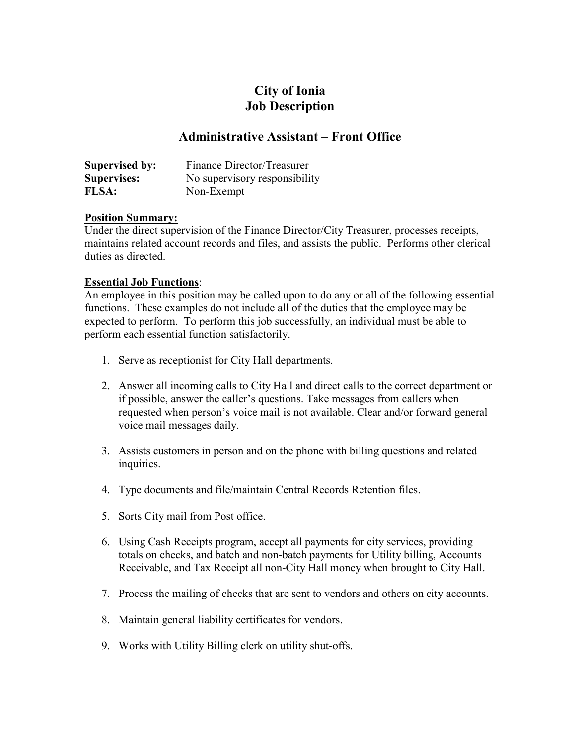# **City of Ionia Job Description**

## **Administrative Assistant – Front Office**

| <b>Supervised by:</b> | Finance Director/Treasurer    |
|-----------------------|-------------------------------|
| <b>Supervises:</b>    | No supervisory responsibility |
| <b>FLSA:</b>          | Non-Exempt                    |

#### **Position Summary:**

Under the direct supervision of the Finance Director/City Treasurer, processes receipts, maintains related account records and files, and assists the public. Performs other clerical duties as directed.

#### **Essential Job Functions**:

An employee in this position may be called upon to do any or all of the following essential functions. These examples do not include all of the duties that the employee may be expected to perform. To perform this job successfully, an individual must be able to perform each essential function satisfactorily.

- 1. Serve as receptionist for City Hall departments.
- 2. Answer all incoming calls to City Hall and direct calls to the correct department or if possible, answer the caller's questions. Take messages from callers when requested when person's voice mail is not available. Clear and/or forward general voice mail messages daily.
- 3. Assists customers in person and on the phone with billing questions and related inquiries.
- 4. Type documents and file/maintain Central Records Retention files.
- 5. Sorts City mail from Post office.
- 6. Using Cash Receipts program, accept all payments for city services, providing totals on checks, and batch and non-batch payments for Utility billing, Accounts Receivable, and Tax Receipt all non-City Hall money when brought to City Hall.
- 7. Process the mailing of checks that are sent to vendors and others on city accounts.
- 8. Maintain general liability certificates for vendors.
- 9. Works with Utility Billing clerk on utility shut-offs.